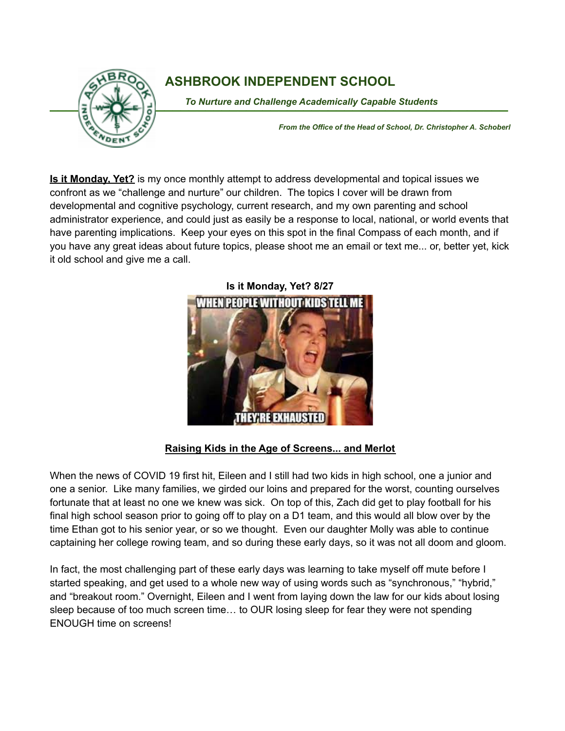

## **ASHBROOK INDEPENDENT SCHOOL**

To Nurture and Challenge Academically Capable Students

*From the Office of the Head of School, Dr. Christopher A. Schoberl*

**Is it Monday, Yet?** is my once monthly attempt to address developmental and topical issues we confront as we "challenge and nurture" our children. The topics I cover will be drawn from developmental and cognitive psychology, current research, and my own parenting and school administrator experience, and could just as easily be a response to local, national, or world events that have parenting implications. Keep your eyes on this spot in the final Compass of each month, and if you have any great ideas about future topics, please shoot me an email or text me... or, better yet, kick it old school and give me a call.



## **Raising Kids in the Age of Screens... and Merlot**

When the news of COVID 19 first hit, Eileen and I still had two kids in high school, one a junior and one a senior. Like many families, we girded our loins and prepared for the worst, counting ourselves fortunate that at least no one we knew was sick. On top of this, Zach did get to play football for his final high school season prior to going off to play on a D1 team, and this would all blow over by the time Ethan got to his senior year, or so we thought. Even our daughter Molly was able to continue captaining her college rowing team, and so during these early days, so it was not all doom and gloom.

In fact, the most challenging part of these early days was learning to take myself off mute before I started speaking, and get used to a whole new way of using words such as "synchronous," "hybrid," and "breakout room." Overnight, Eileen and I went from laying down the law for our kids about losing sleep because of too much screen time… to OUR losing sleep for fear they were not spending ENOUGH time on screens!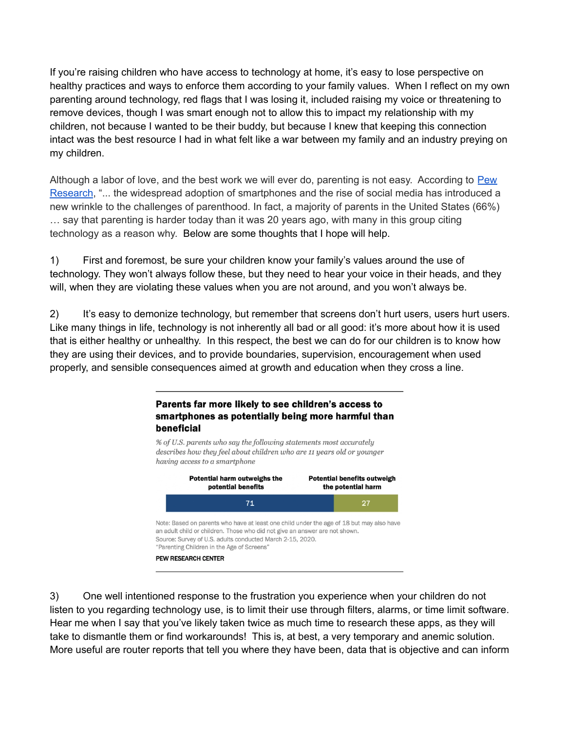If you're raising children who have access to technology at home, it's easy to lose perspective on healthy practices and ways to enforce them according to your family values. When I reflect on my own parenting around technology, red flags that I was losing it, included raising my voice or threatening to remove devices, though I was smart enough not to allow this to impact my relationship with my children, not because I wanted to be their buddy, but because I knew that keeping this connection intact was the best resource I had in what felt like a war between my family and an industry preying on my children.

Although a labor of love, and the best work we will ever do, parenting is not easy. According to [Pew](https://www.pewresearch.org/) [Research](https://www.pewresearch.org/), "... the widespread adoption of smartphones and the rise of social media has introduced a new wrinkle to the challenges of parenthood. In fact, a majority of parents in the United States (66%) … say that parenting is harder today than it was 20 years ago, with many in this group citing technology as a reason why. Below are some thoughts that I hope will help.

1) First and foremost, be sure your children know your family's values around the use of technology. They won't always follow these, but they need to hear your voice in their heads, and they will, when they are violating these values when you are not around, and you won't always be.

2) It's easy to demonize technology, but remember that screens don't hurt users, users hurt users. Like many things in life, technology is not inherently all bad or all good: it's more about how it is used that is either healthy or unhealthy. In this respect, the best we can do for our children is to know how they are using their devices, and to provide boundaries, supervision, encouragement when used properly, and sensible consequences aimed at growth and education when they cross a line.



3) One well intentioned response to the frustration you experience when your children do not listen to you regarding technology use, is to limit their use through filters, alarms, or time limit software. Hear me when I say that you've likely taken twice as much time to research these apps, as they will take to dismantle them or find workarounds! This is, at best, a very temporary and anemic solution. More useful are router reports that tell you where they have been, data that is objective and can inform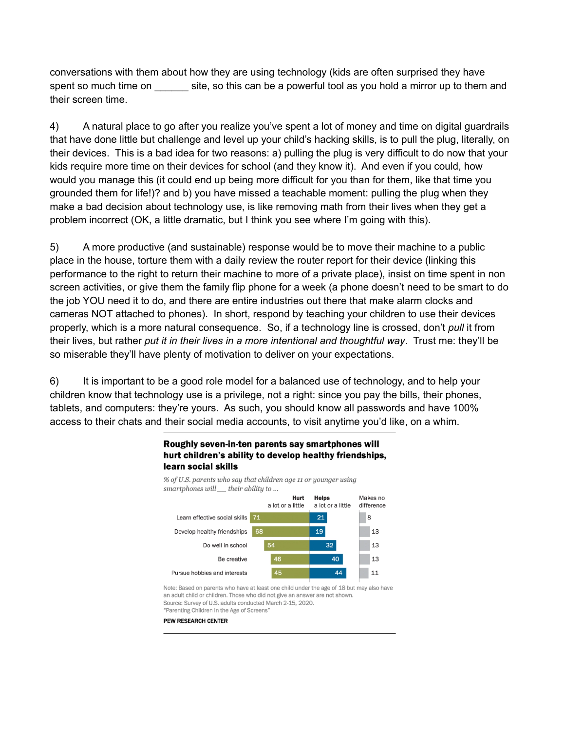conversations with them about how they are using technology (kids are often surprised they have spent so much time on site, so this can be a powerful tool as you hold a mirror up to them and their screen time.

4) A natural place to go after you realize you've spent a lot of money and time on digital guardrails that have done little but challenge and level up your child's hacking skills, is to pull the plug, literally, on their devices. This is a bad idea for two reasons: a) pulling the plug is very difficult to do now that your kids require more time on their devices for school (and they know it). And even if you could, how would you manage this (it could end up being more difficult for you than for them, like that time you grounded them for life!)? and b) you have missed a teachable moment: pulling the plug when they make a bad decision about technology use, is like removing math from their lives when they get a problem incorrect (OK, a little dramatic, but I think you see where I'm going with this).

5) A more productive (and sustainable) response would be to move their machine to a public place in the house, torture them with a daily review the router report for their device (linking this performance to the right to return their machine to more of a private place), insist on time spent in non screen activities, or give them the family flip phone for a week (a phone doesn't need to be smart to do the job YOU need it to do, and there are entire industries out there that make alarm clocks and cameras NOT attached to phones). In short, respond by teaching your children to use their devices properly, which is a more natural consequence. So, if a technology line is crossed, don't *pull* it from their lives, but rather *put it in their lives in a more intentional and thoughtful way*. Trust me: they'll be so miserable they'll have plenty of motivation to deliver on your expectations.

6) It is important to be a good role model for a balanced use of technology, and to help your children know that technology use is a privilege, not a right: since you pay the bills, their phones, tablets, and computers: they're yours. As such, you should know all passwords and have 100% access to their chats and their social media accounts, to visit anytime you'd like, on a whim.



## Roughly seven-in-ten parents say smartphones will hurt children's ability to develop healthy friendships,

Note: Based on parents who have at least one child under the age of 18 but may also have an adult child or children. Those who did not give an answer are not shown. Source: Survey of U.S. adults conducted March 2-15, 2020. "Parenting Children in the Age of Screens'

**PEW RESEARCH CENTER**